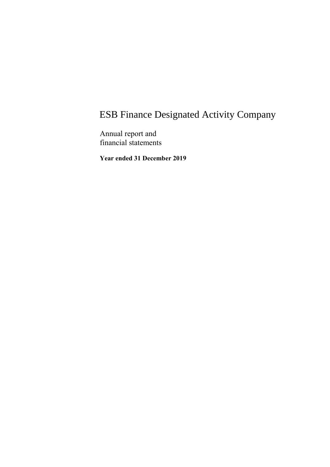Annual report and financial statements

**Year ended 31 December 2019**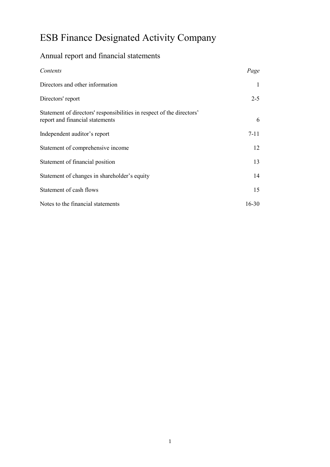## Annual report and financial statements

| Contents                                                                                                 | Page     |
|----------------------------------------------------------------------------------------------------------|----------|
| Directors and other information                                                                          |          |
| Directors' report                                                                                        | $2 - 5$  |
| Statement of directors' responsibilities in respect of the directors'<br>report and financial statements | 6        |
| Independent auditor's report                                                                             | $7 - 11$ |
| Statement of comprehensive income                                                                        | 12       |
| Statement of financial position                                                                          | 13       |
| Statement of changes in shareholder's equity                                                             | 14       |
| Statement of cash flows                                                                                  | 15       |
| Notes to the financial statements                                                                        | 16-30    |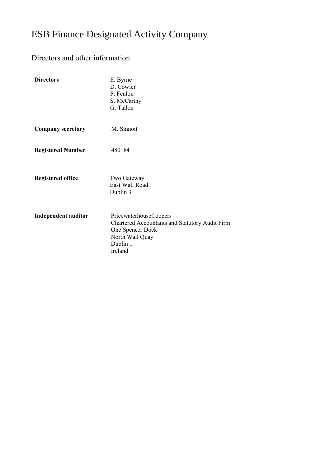## Directors and other information

| <b>Directors</b>           | E. Byrne<br>D. Cowler<br>P. Fenlon<br>S. McCarthy<br>G. Tallon                                                                         |
|----------------------------|----------------------------------------------------------------------------------------------------------------------------------------|
| <b>Company secretary</b>   | M. Sinnott                                                                                                                             |
| <b>Registered Number</b>   | 480184                                                                                                                                 |
| <b>Registered office</b>   | Two Gateway<br>East Wall Road<br>Dublin 3                                                                                              |
| <b>Independent auditor</b> | PricewaterhouseCoopers<br>Chartered Accountants and Statutory Audit Firm<br>One Spencer Dock<br>North Wall Quay<br>Dublin 1<br>Ireland |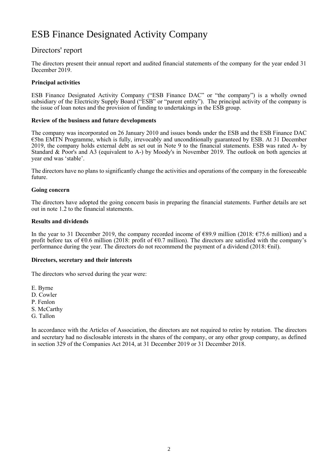### Directors' report

The directors present their annual report and audited financial statements of the company for the year ended 31 December 2019.

### **Principal activities**

ESB Finance Designated Activity Company ("ESB Finance DAC" or "the company") is a wholly owned subsidiary of the Electricity Supply Board ("ESB" or "parent entity"). The principal activity of the company is the issue of loan notes and the provision of funding to undertakings in the ESB group.

#### **Review of the business and future developments**

The company was incorporated on 26 January 2010 and issues bonds under the ESB and the ESB Finance DAC €5bn EMTN Programme, which is fully, irrevocably and unconditionally guaranteed by ESB. At 31 December 2019, the company holds external debt as set out in Note 9 to the financial statements. ESB was rated A- by Standard & Poor's and A3 (equivalent to A-) by Moody's in November 2019. The outlook on both agencies at year end was 'stable'.

The directors have no plans to significantly change the activities and operations of the company in the foreseeable future.

#### **Going concern**

The directors have adopted the going concern basis in preparing the financial statements. Further details are set out in note 1.2 to the financial statements.

#### **Results and dividends**

In the year to 31 December 2019, the company recorded income of €89.9 million (2018: €75.6 million) and a profit before tax of  $\epsilon$ 0.6 million (2018: profit of  $\epsilon$ 0.7 million). The directors are satisfied with the company's performance during the year. The directors do not recommend the payment of a dividend (2018: €nil).

#### **Directors, secretary and their interests**

The directors who served during the year were:

E. Byrne

- D. Cowler
- P. Fenlon
- S. McCarthy
- G. Tallon

In accordance with the Articles of Association, the directors are not required to retire by rotation. The directors and secretary had no disclosable interests in the shares of the company, or any other group company, as defined in section 329 of the Companies Act 2014, at 31 December 2019 or 31 December 2018.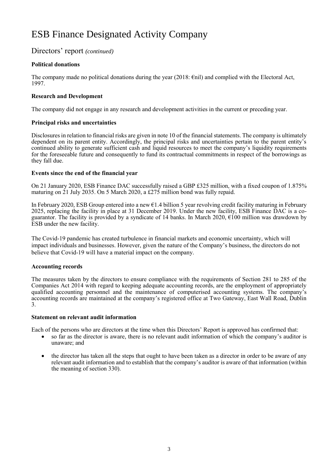Directors' report *(continued)*

### **Political donations**

The company made no political donations during the year (2018: €nil) and complied with the Electoral Act, 1997.

### **Research and Development**

The company did not engage in any research and development activities in the current or preceding year.

### **Principal risks and uncertainties**

Disclosures in relation to financial risks are given in note 10 of the financial statements. The company is ultimately dependent on its parent entity. Accordingly, the principal risks and uncertainties pertain to the parent entity's continued ability to generate sufficient cash and liquid resources to meet the company's liquidity requirements for the foreseeable future and consequently to fund its contractual commitments in respect of the borrowings as they fall due.

### **Events since the end of the financial year**

On 21 January 2020, ESB Finance DAC successfully raised a GBP £325 million, with a fixed coupon of 1.875% maturing on 21 July 2035. On 5 March 2020, a £275 million bond was fully repaid.

In February 2020, ESB Group entered into a new €1.4 billion 5 year revolving credit facility maturing in February 2025, replacing the facility in place at 31 December 2019. Under the new facility, ESB Finance DAC is a coguarantor. The facility is provided by a syndicate of 14 banks. In March 2020,  $\epsilon$ 100 million was drawdown by ESB under the new facility.

The Covid-19 pandemic has created turbulence in financial markets and economic uncertainty, which will impact individuals and businesses. However, given the nature of the Company's business, the directors do not believe that Covid-19 will have a material impact on the company.

### **Accounting records**

The measures taken by the directors to ensure compliance with the requirements of Section 281 to 285 of the Companies Act 2014 with regard to keeping adequate accounting records, are the employment of appropriately qualified accounting personnel and the maintenance of computerised accounting systems. The company's accounting records are maintained at the company's registered office at Two Gateway, East Wall Road, Dublin 3.

### **Statement on relevant audit information**

Each of the persons who are directors at the time when this Directors' Report is approved has confirmed that:

- so far as the director is aware, there is no relevant audit information of which the company's auditor is unaware; and
- the director has taken all the steps that ought to have been taken as a director in order to be aware of any relevant audit information and to establish that the company's auditor is aware of that information (within the meaning of section 330).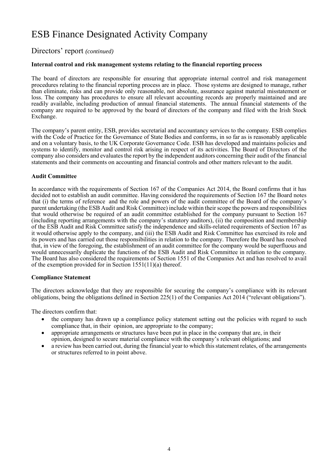Directors' report *(continued)*

#### **Internal control and risk management systems relating to the financial reporting process**

The board of directors are responsible for ensuring that appropriate internal control and risk management procedures relating to the financial reporting process are in place. Those systems are designed to manage, rather than eliminate, risks and can provide only reasonable, not absolute, assurance against material misstatement or loss. The company has procedures to ensure all relevant accounting records are properly maintained and are readily available, including production of annual financial statements. The annual financial statements of the company are required to be approved by the board of directors of the company and filed with the Irish Stock Exchange.

The company's parent entity, ESB, provides secretarial and accountancy services to the company. ESB complies with the Code of Practice for the Governance of State Bodies and conforms, in so far as is reasonably applicable and on a voluntary basis, to the UK Corporate Governance Code. ESB has developed and maintains policies and systems to identify, monitor and control risk arising in respect of its activities. The Board of Directors of the company also considers and evaluates the report by the independent auditors concerning their audit of the financial statements and their comments on accounting and financial controls and other matters relevant to the audit.

#### **Audit Committee**

In accordance with the requirements of Section 167 of the Companies Act 2014, the Board confirms that it has decided not to establish an audit committee. Having considered the requirements of Section 167 the Board notes that (i) the terms of reference and the role and powers of the audit committee of the Board of the company's parent undertaking (the ESB Audit and Risk Committee) include within their scope the powers and responsibilities that would otherwise be required of an audit committee established for the company pursuant to Section 167 (including reporting arrangements with the company's statutory auditors), (ii) the composition and membership of the ESB Audit and Risk Committee satisfy the independence and skills-related requirements of Section 167 as it would otherwise apply to the company, and (iii) the ESB Audit and Risk Committee has exercised its role and its powers and has carried out those responsibilities in relation to the company. Therefore the Board has resolved that, in view of the foregoing, the establishment of an audit committee for the company would be superfluous and would unnecessarily duplicate the functions of the ESB Audit and Risk Committee in relation to the company. The Board has also considered the requirements of Section 1551 of the Companies Act and has resolved to avail of the exemption provided for in Section 1551(11)(a) thereof.

#### **Compliance Statement**

The directors acknowledge that they are responsible for securing the company's compliance with its relevant obligations, being the obligations defined in Section 225(1) of the Companies Act 2014 ("relevant obligations").

The directors confirm that:

- the company has drawn up a compliance policy statement setting out the policies with regard to such compliance that, in their opinion, are appropriate to the company;
- appropriate arrangements or structures have been put in place in the company that are, in their opinion, designed to secure material compliance with the company's relevant obligations; and
- a review has been carried out, during the financial year to which this statement relates, of the arrangements or structures referred to in point above.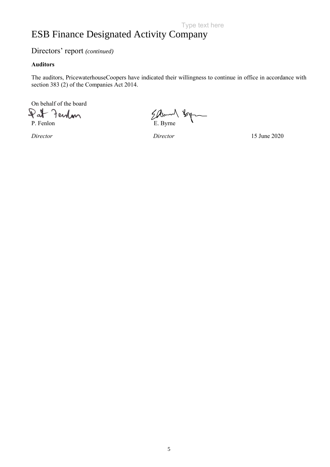### Directors' report *(continued)*

### **Auditors**

The auditors, PricewaterhouseCoopers have indicated their willingness to continue in office in accordance with section 383 (2) of the Companies Act 2014.

On behalf of the board

 $\mathbb{R}$ at Ferdan

Pat Fenlon E. Byrne by

*Director Director* 15 June 2020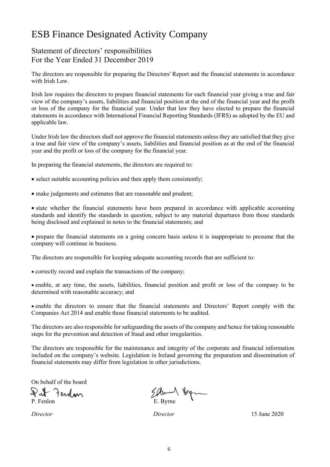## Statement of directors' responsibilities For the Year Ended 31 December 2019

The directors are responsible for preparing the Directors' Report and the financial statements in accordance with Irish Law.

Irish law requires the directors to prepare financial statements for each financial year giving a true and fair view of the company's assets, liabilities and financial position at the end of the financial year and the profit or loss of the company for the financial year. Under that law they have elected to prepare the financial statements in accordance with International Financial Reporting Standards (IFRS) as adopted by the EU and applicable law.

Under Irish law the directors shall not approve the financial statements unless they are satisfied that they give a true and fair view of the company's assets, liabilities and financial position as at the end of the financial year and the profit or loss of the company for the financial year.

In preparing the financial statements, the directors are required to:

- select suitable accounting policies and then apply them consistently;
- make judgements and estimates that are reasonable and prudent;

• state whether the financial statements have been prepared in accordance with applicable accounting standards and identify the standards in question, subject to any material departures from those standards being disclosed and explained in notes to the financial statements; and

• prepare the financial statements on a going concern basis unless it is inappropriate to presume that the company will continue in business.

The directors are responsible for keeping adequate accounting records that are sufficient to:

• correctly record and explain the transactions of the company;

• enable, at any time, the assets, liabilities, financial position and profit or loss of the company to be determined with reasonable accuracy; and

• enable the directors to ensure that the financial statements and Directors' Report comply with the Companies Act 2014 and enable those financial statements to be audited.

The directors are also responsible for safeguarding the assets of the company and hence for taking reasonable steps for the prevention and detection of fraud and other irregularities.

The directors are responsible for the maintenance and integrity of the corporate and financial information included on the company's website. Legislation in Ireland governing the preparation and dissemination of financial statements may differ from legislation in other jurisdictions.

On behalf of the board

Pat Fendan

Pat Fendan Element Spring

*Director Director* 15 June 2020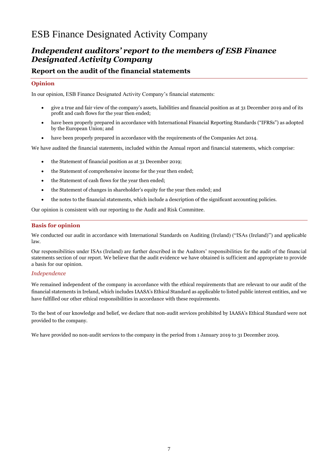## *Independent auditors' report to the members of ESB Finance Designated Activity Company*

### **Report on the audit of the financial statements**

#### **Opinion**

In our opinion, ESB Finance Designated Activity Company's financial statements:

- give a true and fair view of the company's assets, liabilities and financial position as at 31 December 2019 and of its profit and cash flows for the year then ended;
- have been properly prepared in accordance with International Financial Reporting Standards ("IFRSs") as adopted by the European Union; and
- have been properly prepared in accordance with the requirements of the Companies Act 2014.

We have audited the financial statements, included within the Annual report and financial statements, which comprise:

- the Statement of financial position as at 31 December 2019;
- the Statement of comprehensive income for the year then ended;
- the Statement of cash flows for the year then ended;
- the Statement of changes in shareholder's equity for the year then ended; and
- the notes to the financial statements, which include a description of the significant accounting policies.

Our opinion is consistent with our reporting to the Audit and Risk Committee.

#### **Basis for opinion**

We conducted our audit in accordance with International Standards on Auditing (Ireland) ("ISAs (Ireland)") and applicable law.

Our responsibilities under ISAs (Ireland) are further described in the Auditors' responsibilities for the audit of the financial statements section of our report. We believe that the audit evidence we have obtained is sufficient and appropriate to provide a basis for our opinion.

#### *Independence*

We remained independent of the company in accordance with the ethical requirements that are relevant to our audit of the financial statements in Ireland, which includes IAASA's Ethical Standard as applicable to listed public interest entities, and we have fulfilled our other ethical responsibilities in accordance with these requirements.

To the best of our knowledge and belief, we declare that non-audit services prohibited by IAASA's Ethical Standard were not provided to the company.

We have provided no non-audit services to the company in the period from 1 January 2019 to 31 December 2019.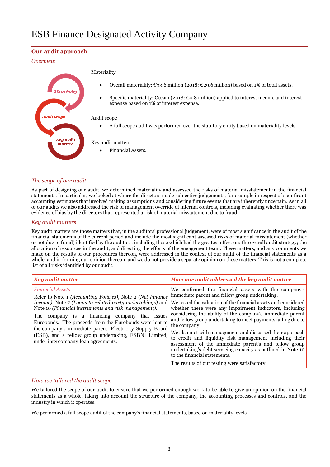#### **Our audit approach**

#### *Overview*

|                             | Materiality                                                                                                                                                   |
|-----------------------------|---------------------------------------------------------------------------------------------------------------------------------------------------------------|
| Materialitu                 | Overall materiality: €33.6 million (2018: €29.6 million) based on 1% of total assets.<br>٠                                                                    |
|                             | Specific materiality: $\epsilon$ 0.9m (2018: $\epsilon$ 0.8 million) applied to interest income and interest<br>٠<br>expense based on 1% of interest expense. |
| Audit scope                 | Audit scope                                                                                                                                                   |
|                             | A full scope audit was performed over the statutory entity based on materiality levels.<br>٠                                                                  |
| <b>Key audit</b><br>matters | Key audit matters                                                                                                                                             |
|                             | Financial Assets.<br>$\bullet$                                                                                                                                |
|                             |                                                                                                                                                               |

#### *The scope of our audit*

As part of designing our audit, we determined materiality and assessed the risks of material misstatement in the financial statements. In particular, we looked at where the directors made subjective judgements, for example in respect of significant accounting estimates that involved making assumptions and considering future events that are inherently uncertain. As in all of our audits we also addressed the risk of management override of internal controls, including evaluating whether there was evidence of bias by the directors that represented a risk of material misstatement due to fraud.

#### *Key audit matters*

l

Key audit matters are those matters that, in the auditors' professional judgement, were of most significance in the audit of the financial statements of the current period and include the most significant assessed risks of material misstatement (whether or not due to fraud) identified by the auditors, including those which had the greatest effect on: the overall audit strategy; the allocation of resources in the audit; and directing the efforts of the engagement team. These matters, and any comments we make on the results of our procedures thereon, were addressed in the context of our audit of the financial statements as a whole, and in forming our opinion thereon, and we do not provide a separate opinion on these matters. This is not a complete list of all risks identified by our audit.

| <b>Key audit matter</b>                                                                                                                                                                                                                                                                                                                                                                                                                                                                              | How our audit addressed the key audit matter                                                                                                                                                                                                                                                                                                                                                                                                                                                                                                                                                                                                                                                                      |
|------------------------------------------------------------------------------------------------------------------------------------------------------------------------------------------------------------------------------------------------------------------------------------------------------------------------------------------------------------------------------------------------------------------------------------------------------------------------------------------------------|-------------------------------------------------------------------------------------------------------------------------------------------------------------------------------------------------------------------------------------------------------------------------------------------------------------------------------------------------------------------------------------------------------------------------------------------------------------------------------------------------------------------------------------------------------------------------------------------------------------------------------------------------------------------------------------------------------------------|
| <b>Financial Assets</b><br>Refer to Note 1 <i>(Accounting Policies)</i> , Note 2 <i>(Net Finance</i> )<br>Income), Note 7 (Loans to related party undertakings) and<br>Note 10 (Financial instruments and risk management).<br>The company is a financing company that issues<br>Eurobonds. The proceeds from the Eurobonds were lent to<br>the company's immediate parent, Electricity Supply Board<br>(ESB), and a fellow group undertaking, ESBNI Limited,<br>under intercompany loan agreements. | We confirmed the financial assets with the company's<br>immediate parent and fellow group undertaking.<br>We tested the valuation of the financial assets and considered<br>whether there were any impairment indicators, including<br>considering the ability of the company's immediate parent<br>and fellow group undertaking to meet payments falling due to<br>the company.<br>We also met with management and discussed their approach<br>to credit and liquidity risk management including their<br>assessment of the immediate parent's and fellow group<br>undertaking's debt servicing capacity as outlined in Note 10<br>to the financial statements.<br>The results of our testing were satisfactory. |

#### *How we tailored the audit scope*

We tailored the scope of our audit to ensure that we performed enough work to be able to give an opinion on the financial statements as a whole, taking into account the structure of the company, the accounting processes and controls, and the industry in which it operates.

We performed a full scope audit of the company's financial statements, based on materiality levels.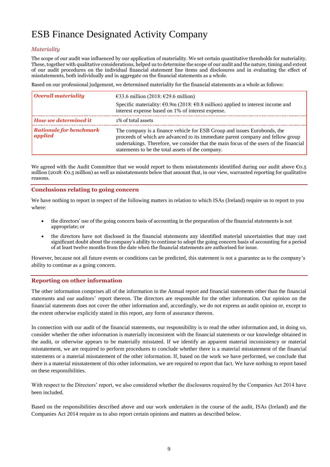#### *Materiality*

The scope of our audit was influenced by our application of materiality. We set certain quantitative thresholds for materiality. These, together with qualitative considerations, helped us to determine the scope of our audit and the nature, timing and extent of our audit procedures on the individual financial statement line items and disclosures and in evaluating the effect of misstatements, both individually and in aggregate on the financial statements as a whole.

Based on our professional judgement, we determined materiality for the financial statements as a whole as follows:

| Overall materiality                       | €33.6 million (2018: €29.6 million)<br>Specific materiality: $\epsilon$ 0.9m (2018: $\epsilon$ 0.8 million) applied to interest income and<br>interest expense based on 1% of interest expense.                                                                                                            |
|-------------------------------------------|------------------------------------------------------------------------------------------------------------------------------------------------------------------------------------------------------------------------------------------------------------------------------------------------------------|
| How we determined it                      | 1% of total assets                                                                                                                                                                                                                                                                                         |
| <b>Rationale for benchmark</b><br>applied | The company is a finance vehicle for ESB Group and issues Eurobonds, the<br>proceeds of which are advanced to its immediate parent company and fellow group<br>undertakings. Therefore, we consider that the main focus of the users of the financial<br>statements to be the total assets of the company. |

We agreed with the Audit Committee that we would report to them misstatements identified during our audit above  $\epsilon_{0.5}$ million (2018: €0.5 million) as well as misstatements below that amount that, in our view, warranted reporting for qualitative reasons.

#### **Conclusions relating to going concern**

We have nothing to report in respect of the following matters in relation to which ISAs (Ireland) require us to report to you where:

- the directors' use of the going concern basis of accounting in the preparation of the financial statements is not appropriate; or
- the directors have not disclosed in the financial statements any identified material uncertainties that may cast significant doubt about the company's ability to continue to adopt the going concern basis of accounting for a period of at least twelve months from the date when the financial statements are authorised for issue.

However, because not all future events or conditions can be predicted, this statement is not a guarantee as to the company's ability to continue as a going concern.

#### **Reporting on other information**

The other information comprises all of the information in the Annual report and financial statements other than the financial statements and our auditors' report thereon. The directors are responsible for the other information. Our opinion on the financial statements does not cover the other information and, accordingly, we do not express an audit opinion or, except to the extent otherwise explicitly stated in this report, any form of assurance thereon.

In connection with our audit of the financial statements, our responsibility is to read the other information and, in doing so, consider whether the other information is materially inconsistent with the financial statements or our knowledge obtained in the audit, or otherwise appears to be materially misstated. If we identify an apparent material inconsistency or material misstatement, we are required to perform procedures to conclude whether there is a material misstatement of the financial statements or a material misstatement of the other information. If, based on the work we have performed, we conclude that there is a material misstatement of this other information, we are required to report that fact. We have nothing to report based on these responsibilities.

With respect to the Directors' report, we also considered whether the disclosures required by the Companies Act 2014 have been included.

Based on the responsibilities described above and our work undertaken in the course of the audit, ISAs (Ireland) and the Companies Act 2014 require us to also report certain opinions and matters as described below.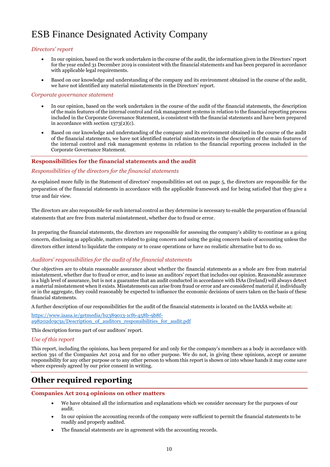#### *Directors' report*

- In our opinion, based on the work undertaken in the course of the audit, the information given in the Directors' report for the year ended 31 December 2019 is consistent with the financial statements and has been prepared in accordance with applicable legal requirements.
- Based on our knowledge and understanding of the company and its environment obtained in the course of the audit, we have not identified any material misstatements in the Directors' report.

#### *Corporate governance statement*

- In our opinion, based on the work undertaken in the course of the audit of the financial statements, the description of the main features of the internal control and risk management systems in relation to the financial reporting process included in the Corporate Governance Statement, is consistent with the financial statements and have been prepared in accordance with section 1373(2)(c).
- Based on our knowledge and understanding of the company and its environment obtained in the course of the audit of the financial statements, we have not identified material misstatements in the description of the main features of the internal control and risk management systems in relation to the financial reporting process included in the Corporate Governance Statement.

#### **Responsibilities for the financial statements and the audit**

#### *Responsibilities of the directors for the financial statements*

As explained more fully in the Statement of directors' responsibilities set out on page 5, the directors are responsible for the preparation of the financial statements in accordance with the applicable framework and for being satisfied that they give a true and fair view.

The directors are also responsible for such internal control as they determine is necessary to enable the preparation of financial statements that are free from material misstatement, whether due to fraud or error.

In preparing the financial statements, the directors are responsible for assessing the company's ability to continue as a going concern, disclosing as applicable, matters related to going concern and using the going concern basis of accounting unless the directors either intend to liquidate the company or to cease operations or have no realistic alternative but to do so.

#### *Auditors' responsibilities for the audit of the financial statements*

Our objectives are to obtain reasonable assurance about whether the financial statements as a whole are free from material misstatement, whether due to fraud or error, and to issue an auditors' report that includes our opinion. Reasonable assurance is a high level of assurance, but is not a guarantee that an audit conducted in accordance with ISAs (Ireland) will always detect a material misstatement when it exists. Misstatements can arise from fraud or error and are considered material if, individually or in the aggregate, they could reasonably be expected to influence the economic decisions of users taken on the basis of these financial statements.

A further description of our responsibilities for the audit of the financial statements is located on the IAASA website at:

[https://www.iaasa.ie/getmedia/b2389013-1cf6-458b-9b8f](https://www.iaasa.ie/getmedia/b2389013-1cf6-458b-9b8f-a98202dc9c3a/Description_of_auditors_responsibilities_for_audit.pdf)[a98202dc9c3a/Description\\_of\\_auditors\\_responsibilities\\_for\\_audit.pdf](https://www.iaasa.ie/getmedia/b2389013-1cf6-458b-9b8f-a98202dc9c3a/Description_of_auditors_responsibilities_for_audit.pdf)

This description forms part of our auditors' report.

#### *Use of this report*

This report, including the opinions, has been prepared for and only for the company's members as a body in accordance with section 391 of the Companies Act 2014 and for no other purpose. We do not, in giving these opinions, accept or assume responsibility for any other purpose or to any other person to whom this report is shown or into whose hands it may come save where expressly agreed by our prior consent in writing.

## **Other required reporting**

#### **Companies Act 2014 opinions on other matters**

- We have obtained all the information and explanations which we consider necessary for the purposes of our audit.
- In our opinion the accounting records of the company were sufficient to permit the financial statements to be readily and properly audited.
- The financial statements are in agreement with the accounting records.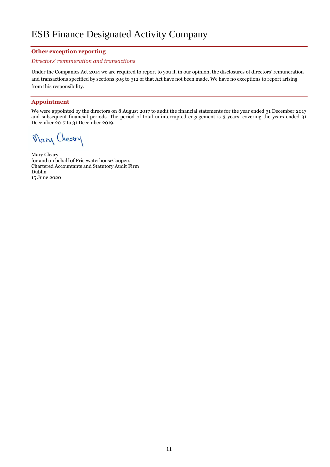#### **Other exception reporting**

#### *Directors' remuneration and transactions*

Under the Companies Act 2014 we are required to report to you if, in our opinion, the disclosures of directors' remuneration and transactions specified by sections 305 to 312 of that Act have not been made. We have no exceptions to report arising from this responsibility.

#### **Appointment**

We were appointed by the directors on 8 August 2017 to audit the financial statements for the year ended 31 December 2017 and subsequent financial periods. The period of total uninterrupted engagement is 3 years, covering the years ended 31 December 2017 to 31 December 2019.

Mary Cleary

Mary Cleary for and on behalf of PricewaterhouseCoopers Chartered Accountants and Statutory Audit Firm Dublin 15 June 2020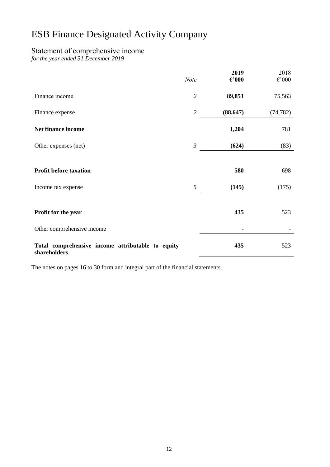## Statement of comprehensive income

*for the year ended 31 December 2019*

|                                                                   | <b>Note</b>    | 2019<br>$\epsilon$ '000 | 2018<br>$\epsilon$ '000 |
|-------------------------------------------------------------------|----------------|-------------------------|-------------------------|
| Finance income                                                    | $\overline{2}$ | 89,851                  | 75,563                  |
| Finance expense                                                   | $\overline{2}$ | (88, 647)               | (74, 782)               |
| Net finance income                                                |                | 1,204                   | 781                     |
| Other expenses (net)                                              | $\mathfrak{Z}$ | (624)                   | (83)                    |
| <b>Profit before taxation</b>                                     |                | 580                     | 698                     |
| Income tax expense                                                | 5              | (145)                   | (175)                   |
| Profit for the year                                               |                | 435                     | 523                     |
| Other comprehensive income                                        |                |                         |                         |
| Total comprehensive income attributable to equity<br>shareholders |                | 435                     | 523                     |

The notes on pages 16 to 30 form and integral part of the financial statements.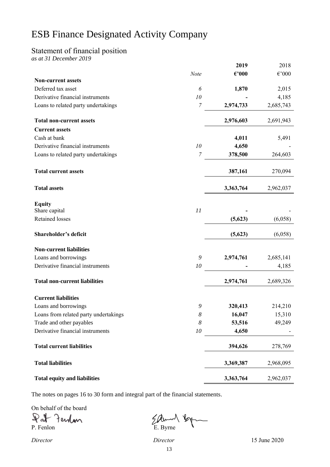## Statement of financial position

*as at 31 December 2019*

|                                       |                  | 2019            | 2018                 |
|---------------------------------------|------------------|-----------------|----------------------|
|                                       | Note             | $\epsilon$ '000 | $\epsilon{\cdot}000$ |
| <b>Non-current assets</b>             |                  |                 |                      |
| Deferred tax asset                    | 6                | 1,870           | 2,015                |
| Derivative financial instruments      | 10               |                 | 4,185                |
| Loans to related party undertakings   | $\overline{7}$   | 2,974,733       | 2,685,743            |
| <b>Total non-current assets</b>       |                  | 2,976,603       | 2,691,943            |
| <b>Current assets</b>                 |                  |                 |                      |
| Cash at bank                          |                  | 4,011           | 5,491                |
| Derivative financial instruments      | 10               | 4,650           |                      |
| Loans to related party undertakings   | 7                | 378,500         | 264,603              |
| <b>Total current assets</b>           |                  | 387,161         | 270,094              |
| <b>Total assets</b>                   |                  | 3,363,764       | 2,962,037            |
| <b>Equity</b>                         |                  |                 |                      |
| Share capital                         | 11               |                 |                      |
| <b>Retained losses</b>                |                  | (5,623)         | (6,058)              |
| Shareholder's deficit                 |                  | (5,623)         | (6,058)              |
| <b>Non-current liabilities</b>        |                  |                 |                      |
| Loans and borrowings                  | 9                | 2,974,761       | 2,685,141            |
| Derivative financial instruments      | 10               |                 | 4,185                |
| <b>Total non-current liabilities</b>  |                  | 2,974,761       | 2,689,326            |
| <b>Current liabilities</b>            |                  |                 |                      |
| Loans and borrowings                  | 9                | 320,413         | 214,210              |
| Loans from related party undertakings | $\boldsymbol{8}$ | 16,047          | 15,310               |
| Trade and other payables              | 8                | 53,516          | 49,249               |
| Derivative financial instruments      | 10               | 4,650           |                      |
| <b>Total current liabilities</b>      |                  | 394,626         | 278,769              |
| <b>Total liabilities</b>              |                  | 3,369,387       | 2,968,095            |
| <b>Total equity and liabilities</b>   |                  | 3,363,764       | 2,962,037            |

The notes on pages 16 to 30 form and integral part of the financial statements.

On behalf of the board

Pat Ferdan

Pat Ferdan Elbum 16g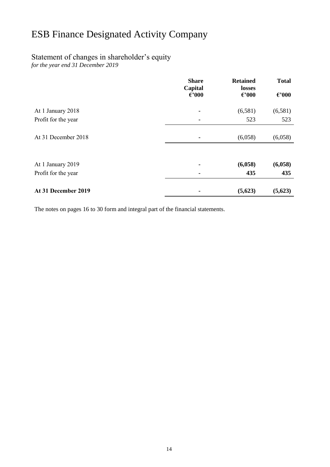## Statement of changes in shareholder's equity

*for the year end 31 December 2019*

|                                          | <b>Share</b><br>Capital<br>$\epsilon$ '000 | <b>Retained</b><br>losses<br>$\epsilon$ '000 | <b>Total</b><br>$\epsilon$ '000 |
|------------------------------------------|--------------------------------------------|----------------------------------------------|---------------------------------|
| At 1 January 2018                        |                                            | (6,581)                                      | (6,581)                         |
| Profit for the year                      |                                            | 523                                          | 523                             |
| At 31 December 2018                      |                                            | (6,058)                                      | (6,058)                         |
| At 1 January 2019<br>Profit for the year |                                            | (6,058)<br>435                               | (6,058)<br>435                  |
| At 31 December 2019                      |                                            | (5,623)                                      | (5,623)                         |

The notes on pages 16 to 30 form and integral part of the financial statements.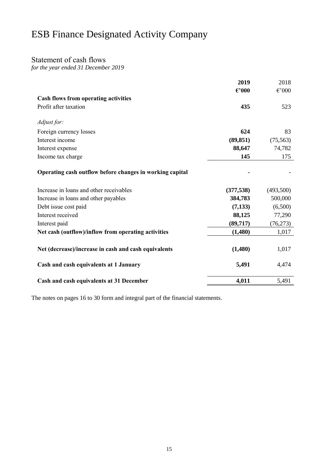### Statement of cash flows

*for the year ended 31 December 2019*

|                                                          | 2019            | 2018            |
|----------------------------------------------------------|-----------------|-----------------|
|                                                          | $\epsilon$ '000 | $\epsilon$ '000 |
| <b>Cash flows from operating activities</b>              |                 |                 |
| Profit after taxation                                    | 435             | 523             |
|                                                          |                 |                 |
| Adjust for:                                              |                 |                 |
| Foreign currency losses                                  | 624             | 83              |
| Interest income                                          | (89, 851)       | (75, 563)       |
| Interest expense                                         | 88,647          | 74,782          |
| Income tax charge                                        | 145             | 175             |
|                                                          |                 |                 |
| Operating cash outflow before changes in working capital |                 |                 |
|                                                          |                 |                 |
| Increase in loans and other receivables                  | (377, 538)      | (493,500)       |
| Increase in loans and other payables                     | 384,783         | 500,000         |
| Debt issue cost paid                                     | (7,133)         | (6,500)         |
| Interest received                                        | 88,125          | 77,290          |
| Interest paid                                            | (89,717)        | (76, 273)       |
| Net cash (outflow)/inflow from operating activities      | (1,480)         | 1,017           |
|                                                          |                 |                 |
| Net (decrease)/increase in cash and cash equivalents     | (1,480)         | 1,017           |
|                                                          |                 |                 |
| Cash and cash equivalents at 1 January                   | 5,491           | 4,474           |
|                                                          |                 |                 |
| Cash and cash equivalents at 31 December                 | 4,011           | 5,491           |

The notes on pages 16 to 30 form and integral part of the financial statements.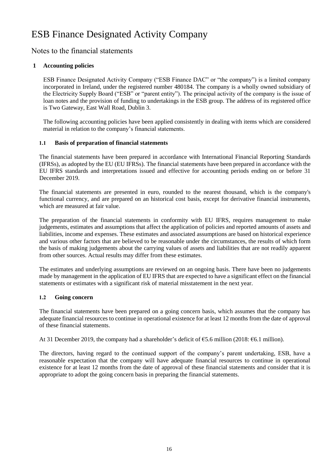## Notes to the financial statements

### **1 Accounting policies**

ESB Finance Designated Activity Company ("ESB Finance DAC" or "the company") is a limited company incorporated in Ireland, under the registered number 480184. The company is a wholly owned subsidiary of the Electricity Supply Board ("ESB" or "parent entity"). The principal activity of the company is the issue of loan notes and the provision of funding to undertakings in the ESB group. The address of its registered office is Two Gateway, East Wall Road, Dublin 3.

The following accounting policies have been applied consistently in dealing with items which are considered material in relation to the company's financial statements.

### **1.1 Basis of preparation of financial statements**

The financial statements have been prepared in accordance with International Financial Reporting Standards (IFRSs), as adopted by the EU (EU IFRSs). The financial statements have been prepared in accordance with the EU IFRS standards and interpretations issued and effective for accounting periods ending on or before 31 December 2019.

The financial statements are presented in euro, rounded to the nearest thousand, which is the company's functional currency, and are prepared on an historical cost basis, except for derivative financial instruments, which are measured at fair value.

The preparation of the financial statements in conformity with EU IFRS, requires management to make judgements, estimates and assumptions that affect the application of policies and reported amounts of assets and liabilities, income and expenses. These estimates and associated assumptions are based on historical experience and various other factors that are believed to be reasonable under the circumstances, the results of which form the basis of making judgements about the carrying values of assets and liabilities that are not readily apparent from other sources. Actual results may differ from these estimates.

The estimates and underlying assumptions are reviewed on an ongoing basis. There have been no judgements made by management in the application of EU IFRS that are expected to have a significant effect on the financial statements or estimates with a significant risk of material misstatement in the next year.

### **1.2 Going concern**

The financial statements have been prepared on a going concern basis, which assumes that the company has adequate financial resources to continue in operational existence for at least 12 months from the date of approval of these financial statements.

At 31 December 2019, the company had a shareholder's deficit of  $\epsilon$ 5.6 million (2018:  $\epsilon$ 6.1 million).

The directors, having regard to the continued support of the company's parent undertaking, ESB, have a reasonable expectation that the company will have adequate financial resources to continue in operational existence for at least 12 months from the date of approval of these financial statements and consider that it is appropriate to adopt the going concern basis in preparing the financial statements.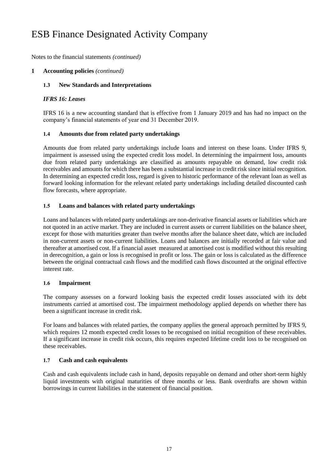Notes to the financial statements *(continued)*

### **1 Accounting policies** *(continued)*

#### **1.3 New Standards and Interpretations**

#### *IFRS 16: Leases*

IFRS 16 is a new accounting standard that is effective from 1 January 2019 and has had no impact on the company's financial statements of year end 31 December 2019.

#### **1.4 Amounts due from related party undertakings**

Amounts due from related party undertakings include loans and interest on these loans. Under IFRS 9, impairment is assessed using the expected credit loss model. In determining the impairment loss, amounts due from related party undertakings are classified as amounts repayable on demand, low credit risk receivables and amounts for which there has been a substantial increase in credit risk since initial recognition. In determining an expected credit loss, regard is given to historic performance of the relevant loan as well as forward looking information for the relevant related party undertakings including detailed discounted cash flow forecasts, where appropriate.

#### **1.5 Loans and balances with related party undertakings**

Loans and balances with related party undertakings are non-derivative financial assets or liabilities which are not quoted in an active market. They are included in current assets or current liabilities on the balance sheet, except for those with maturities greater than twelve months after the balance sheet date, which are included in non-current assets or non-current liabilities. Loans and balances are initially recorded at fair value and thereafter at amortised cost. If a financial asset measured at amortised cost is modified without this resulting in derecognition, a gain or loss is recognised in profit or loss. The gain or loss is calculated as the difference between the original contractual cash flows and the modified cash flows discounted at the original effective interest rate.

#### **1.6 Impairment**

The company assesses on a forward looking basis the expected credit losses associated with its debt instruments carried at amortised cost. The impairment methodology applied depends on whether there has been a significant increase in credit risk.

For loans and balances with related parties, the company applies the general approach permitted by IFRS 9, which requires 12 month expected credit losses to be recognised on initial recognition of these receivables. If a significant increase in credit risk occurs, this requires expected lifetime credit loss to be recognised on these receivables.

### **1.7 Cash and cash equivalents**

Cash and cash equivalents include cash in hand, deposits repayable on demand and other short-term highly liquid investments with original maturities of three months or less. Bank overdrafts are shown within borrowings in current liabilities in the statement of financial position.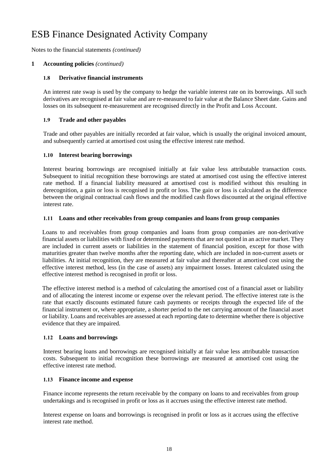Notes to the financial statements *(continued)*

### **1 Accounting policies** *(continued)*

#### **1.8 Derivative financial instruments**

An interest rate swap is used by the company to hedge the variable interest rate on its borrowings. All such derivatives are recognised at fair value and are re-measured to fair value at the Balance Sheet date. Gains and losses on its subsequent re-measurement are recognised directly in the Profit and Loss Account.

#### **1.9 Trade and other payables**

Trade and other payables are initially recorded at fair value, which is usually the original invoiced amount, and subsequently carried at amortised cost using the effective interest rate method.

#### **1.10 Interest bearing borrowings**

Interest bearing borrowings are recognised initially at fair value less attributable transaction costs. Subsequent to initial recognition these borrowings are stated at amortised cost using the effective interest rate method. If a financial liability measured at amortised cost is modified without this resulting in derecognition, a gain or loss is recognised in profit or loss. The gain or loss is calculated as the difference between the original contractual cash flows and the modified cash flows discounted at the original effective interest rate.

#### **1.11 Loans and other receivables from group companies and loans from group companies**

Loans to and receivables from group companies and loans from group companies are non-derivative financial assets or liabilities with fixed or determined payments that are not quoted in an active market. They are included in current assets or liabilities in the statement of financial position, except for those with maturities greater than twelve months after the reporting date, which are included in non-current assets or liabilities. At initial recognition, they are measured at fair value and thereafter at amortised cost using the effective interest method, less (in the case of assets) any impairment losses. Interest calculated using the effective interest method is recognised in profit or loss.

The effective interest method is a method of calculating the amortised cost of a financial asset or liability and of allocating the interest income or expense over the relevant period. The effective interest rate is the rate that exactly discounts estimated future cash payments or receipts through the expected life of the financial instrument or, where appropriate, a shorter period to the net carrying amount of the financial asset or liability. Loans and receivables are assessed at each reporting date to determine whether there is objective evidence that they are impaired.

#### **1.12 Loans and borrowings**

Interest bearing loans and borrowings are recognised initially at fair value less attributable transaction costs. Subsequent to initial recognition these borrowings are measured at amortised cost using the effective interest rate method.

#### **1.13 Finance income and expense**

Finance income represents the return receivable by the company on loans to and receivables from group undertakings and is recognised in profit or loss as it accrues using the effective interest rate method.

Interest expense on loans and borrowings is recognised in profit or loss as it accrues using the effective interest rate method.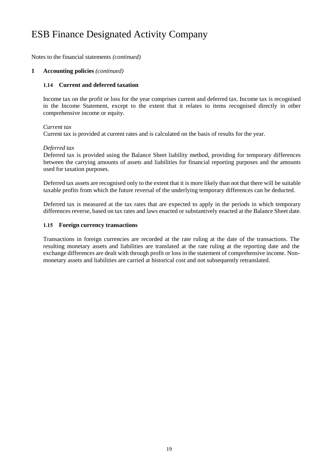Notes to the financial statements *(continued)*

#### **1 Accounting policies** *(continued)*

#### **1.14 Current and deferred taxation**

Income tax on the profit or loss for the year comprises current and deferred tax. Income tax is recognised in the Income Statement, except to the extent that it relates to items recognised directly in other comprehensive income or equity.

#### *Current tax*

Current tax is provided at current rates and is calculated on the basis of results for the year.

#### *Deferred tax*

Deferred tax is provided using the Balance Sheet liability method, providing for temporary differences between the carrying amounts of assets and liabilities for financial reporting purposes and the amounts used for taxation purposes.

Deferred tax assets are recognised only to the extent that it is more likely than not that there will be suitable taxable profits from which the future reversal of the underlying temporary differences can be deducted.

Deferred tax is measured at the tax rates that are expected to apply in the periods in which temporary differences reverse, based on tax rates and laws enacted or substantively enacted at the Balance Sheet date.

#### **1.15 Foreign currency transactions**

Transactions in foreign currencies are recorded at the rate ruling at the date of the transactions. The resulting monetary assets and liabilities are translated at the rate ruling at the reporting date and the exchange differences are dealt with through profit or loss in the statement of comprehensive income. Nonmonetary assets and liabilities are carried at historical cost and not subsequently retranslated.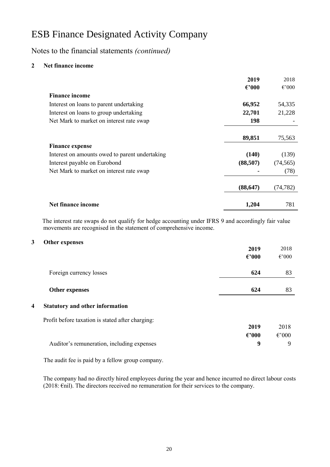Notes to the financial statements *(continued)*

### **2 Net finance income**

|                                                   | 2019            | 2018            |
|---------------------------------------------------|-----------------|-----------------|
|                                                   | $\epsilon$ '000 | $\epsilon$ '000 |
| <b>Finance income</b>                             |                 |                 |
| 66,952<br>Interest on loans to parent undertaking |                 | 54,335          |
| 22,701<br>Interest on loans to group undertaking  |                 | 21,228          |
| Net Mark to market on interest rate swap          | <b>198</b>      |                 |
|                                                   |                 |                 |
| 89,851                                            |                 | 75,563          |
| <b>Finance expense</b>                            |                 |                 |
| Interest on amounts owed to parent undertaking    | (140)           | (139)           |
| Interest payable on Eurobond<br>(88,507)          |                 | (74, 565)       |
| Net Mark to market on interest rate swap          |                 | (78)            |
| (88, 647)                                         |                 | (74,782)        |
| Net finance income                                | 1,204           | 781             |

The interest rate swaps do not qualify for hedge accounting under IFRS 9 and accordingly fair value movements are recognised in the statement of comprehensive income.

#### **3 Other expenses**

| 2019<br>$\epsilon$ '000 | 2018<br>$\epsilon{\cdot}000$ |
|-------------------------|------------------------------|
| 624                     | 83                           |
| 624                     | 83                           |
|                         |                              |

### **4 Statutory and other information**

Profit before taxation is stated after charging:

| 2019                                       | 2018            |
|--------------------------------------------|-----------------|
| $\epsilon$ '000                            | $\epsilon$ '000 |
| Auditor's remuneration, including expenses | $\mathbf{Q}$    |

The audit fee is paid by a fellow group company.

The company had no directly hired employees during the year and hence incurred no direct labour costs (2018: €nil). The directors received no remuneration for their services to the company.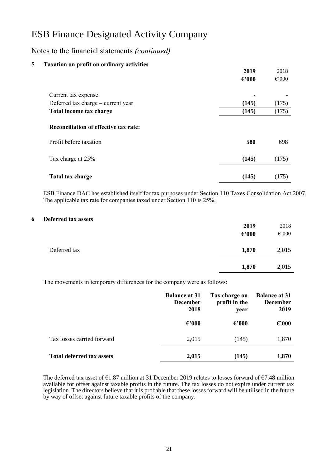## Notes to the financial statements *(continued)*

| 5 | <b>Taxation on profit on ordinary activities</b> |                 |                 |
|---|--------------------------------------------------|-----------------|-----------------|
|   |                                                  | 2019            | 2018            |
|   |                                                  | $\epsilon$ '000 | $\epsilon$ '000 |
|   | Current tax expense                              | ٠               |                 |
|   | Deferred tax charge – current year               | (145)           | (175)           |
|   | Total income tax charge                          | (145)           | (175)           |
|   | <b>Reconciliation of effective tax rate:</b>     |                 |                 |
|   | Profit before taxation                           | 580             | 698             |
|   | Tax charge at 25%                                | (145)           | (175)           |
|   | Total tax charge                                 | (145)           | (175)           |

ESB Finance DAC has established itself for tax purposes under Section 110 Taxes Consolidation Act 2007. The applicable tax rate for companies taxed under Section 110 is 25%.

#### **6 Deferred tax assets**

|              | 2019            | 2018            |
|--------------|-----------------|-----------------|
|              | $\epsilon$ '000 | $\epsilon$ '000 |
|              |                 |                 |
| Deferred tax | 1,870           | 2,015           |
|              |                 |                 |
|              | 1,870           | 2,015           |
|              |                 |                 |

The movements in temporary differences for the company were as follows:

|                                  | <b>Balance at 31</b><br><b>December</b><br>2018 | Tax charge on<br>profit in the<br>year | <b>Balance at 31</b><br><b>December</b><br>2019 |
|----------------------------------|-------------------------------------------------|----------------------------------------|-------------------------------------------------|
|                                  | $\epsilon$ '000                                 | $\epsilon$ '000                        | $\epsilon$ '000                                 |
| Tax losses carried forward       | 2,015                                           | (145)                                  | 1,870                                           |
| <b>Total deferred tax assets</b> | 2,015                                           | (145)                                  | 1,870                                           |

The deferred tax asset of €1.87 million at 31 December 2019 relates to losses forward of €7.48 million available for offset against taxable profits in the future. The tax losses do not expire under current tax legislation. The directors believe that it is probable that these losses forward will be utilised in the future by way of offset against future taxable profits of the company.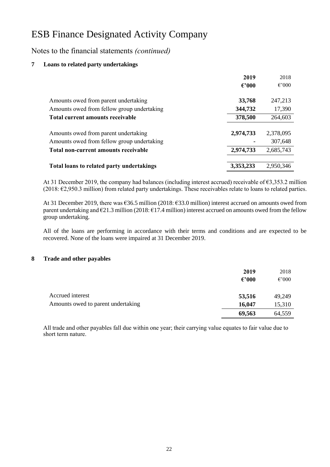Notes to the financial statements *(continued)*

### **7 Loans to related party undertakings**

|                                                                                    | 2019            | 2018                 |
|------------------------------------------------------------------------------------|-----------------|----------------------|
|                                                                                    | $\epsilon$ '000 | $\epsilon$ '000      |
| Amounts owed from parent undertaking                                               | 33,768          | 247,213              |
| Amounts owed from fellow group undertaking                                         | 344,732         | 17,390               |
| Total current amounts receivable                                                   | 378,500         | 264,603              |
| Amounts owed from parent undertaking<br>Amounts owed from fellow group undertaking | 2,974,733       | 2,378,095<br>307,648 |
| Total non-current amounts receivable                                               | 2,974,733       | 2,685,743            |
| Total loans to related party undertakings                                          | 3,353,233       | 2,950,346            |

At 31 December 2019, the company had balances (including interest accrued) receivable of €3,353.2 million (2018: €2,950.3 million) from related party undertakings. These receivables relate to loans to related parties.

At 31 December 2019, there was €36.5 million (2018: €33.0 million) interest accrued on amounts owed from parent undertaking and  $\epsilon$ 21.3 million (2018:  $\epsilon$ 17.4 million) interest accrued on amounts owed from the fellow group undertaking.

All of the loans are performing in accordance with their terms and conditions and are expected to be recovered. None of the loans were impaired at 31 December 2019.

### **8 Trade and other payables**

|                                    | 2019<br>$\epsilon$ '000 | 2018<br>$\epsilon$ '000 |
|------------------------------------|-------------------------|-------------------------|
| Accrued interest                   | 53,516                  | 49,249                  |
| Amounts owed to parent undertaking | 16,047                  | 15,310                  |
|                                    | 69,563                  | 64,559                  |

All trade and other payables fall due within one year; their carrying value equates to fair value due to short term nature.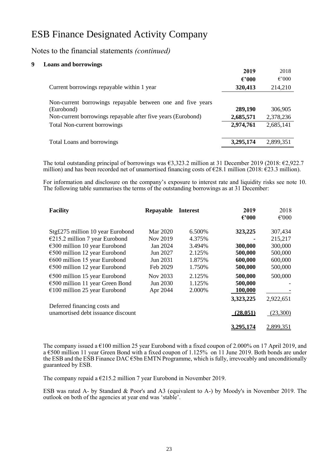### Notes to the financial statements *(continued)*

#### **9 Loans and borrowings**

|                                                                                                                                           | 2019                 | 2018                 |
|-------------------------------------------------------------------------------------------------------------------------------------------|----------------------|----------------------|
|                                                                                                                                           | $\epsilon$ '000      | $\epsilon$ '000      |
| Current borrowings repayable within 1 year                                                                                                | 320,413              | 214,210              |
| Non-current borrowings repayable between one and five years<br>(Eurobond)<br>Non-current borrowings repayable after five years (Eurobond) | 289,190<br>2,685,571 | 306,905<br>2,378,236 |
| <b>Total Non-current borrowings</b>                                                                                                       | 2,974,761            | 2,685,141            |
| Total Loans and borrowings                                                                                                                | 3,295,174            | 2,899,351            |

The total outstanding principal of borrowings was €3,323.2 million at 31 December 2019 (2018: €2,922.7 million) and has been recorded net of unamortised financing costs of  $\epsilon$ 28.1 million (2018:  $\epsilon$ 23.3 million).

For information and disclosure on the company's exposure to interest rate and liquidity risks see note 10. The following table summarises the terms of the outstanding borrowings as at 31 December:

| <b>Facility</b>                           | Repayable | <b>Interest</b> | 2019<br>$\epsilon$ '000 | 2018<br>$\epsilon$ '000 |
|-------------------------------------------|-----------|-----------------|-------------------------|-------------------------|
| Stg£275 million 10 year Eurobond          | Mar 2020  | 6.500\%         | 323,225                 | 307,434                 |
| $E$ 215.2 million 7 year Eurobond         | Nov 2019  | 4.375%          |                         | 215,217                 |
| $€300$ million 10 year Eurobond           | Jan 2024  | 3.494%          | 300,000                 | 300,000                 |
| €500 million 12 year Eurobond             | Jun 2027  | 2.125%          | 500,000                 | 500,000                 |
| $\epsilon$ 600 million 15 year Eurobond   | Jun 2031  | 1.875%          | 600,000                 | 600,000                 |
| $\epsilon$ 500 million 12 year Eurobond   | Feb 2029  | 1.750%          | 500,000                 | 500,000                 |
| $\epsilon$ 500 million 15 year Eurobond   | Nov 2033  | 2.125%          | 500,000                 | 500,000                 |
| $\epsilon$ 500 million 11 year Green Bond | Jun 2030  | 1.125%          | 500,000                 |                         |
| $€100$ million 25 year Eurobond           | Apr 2044  | 2.000%          | 100,000                 |                         |
|                                           |           |                 | 3,323,225               | 2,922,651               |
| Deferred financing costs and              |           |                 |                         |                         |
| unamortised debt issuance discount        |           |                 | (28.051)                | (23,300)                |
|                                           |           |                 |                         | 2,899,351               |

The company issued a €100 million 25 year Eurobond with a fixed coupon of 2.000% on 17 April 2019, and a €500 million 11 year Green Bond with a fixed coupon of 1.125% on 11 June 2019. Both bonds are under the ESB and the ESB Finance DAC €5bn EMTN Programme, which is fully, irrevocably and unconditionally guaranteed by ESB.

The company repaid a €215.2 million 7 year Eurobond in November 2019.

ESB was rated A- by Standard & Poor's and A3 (equivalent to A-) by Moody's in November 2019. The outlook on both of the agencies at year end was 'stable'.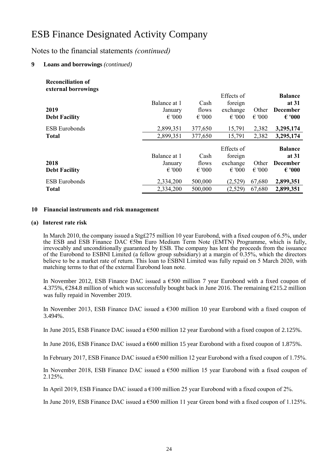## Notes to the financial statements *(continued)*

### **9 Loans and borrowings** *(continued)*

| <b>Reconciliation of</b><br>external borrowings |                 |                 |                 |                 |                 |
|-------------------------------------------------|-----------------|-----------------|-----------------|-----------------|-----------------|
|                                                 |                 |                 | Effects of      |                 | <b>Balance</b>  |
|                                                 | Balance at 1    | Cash            | foreign         |                 | at 31           |
| 2019                                            | January         | flows           | exchange        | Other           | <b>December</b> |
| <b>Debt Facility</b>                            | $\epsilon$ '000 | $\epsilon$ '000 | $\epsilon$ '000 | $\epsilon$ '000 | $\epsilon$ '000 |
| <b>ESB</b> Eurobonds                            | 2,899,351       | 377,650         | 15,791          | 2,382           | 3,295,174       |
| <b>Total</b>                                    | 2,899,351       | 377,650         | 15,791          | 2,382           | 3,295,174       |
|                                                 |                 |                 | Effects of      |                 | <b>Balance</b>  |
|                                                 | Balance at 1    | Cash            | foreign         |                 | at 31           |
| 2018                                            | January         | flows           | exchange        | Other           | <b>December</b> |
| <b>Debt Facility</b>                            | $\epsilon$ '000 | $\epsilon$ '000 | $\epsilon$ '000 | $\epsilon$ '000 | $\epsilon$ '000 |
| <b>ESB</b> Eurobonds                            | 2,334,200       | 500,000         | (2,529)         | 67,680          | 2,899,351       |
| <b>Total</b>                                    | 2,334,200       | 500,000         | (2,529)         | 67,680          | 2,899,351       |

#### **10 Financial instruments and risk management**

#### **(a) Interest rate risk**

In March 2010, the company issued a Stg£275 million 10 year Eurobond, with a fixed coupon of 6.5%, under the ESB and ESB Finance DAC €5bn Euro Medium Term Note (EMTN) Programme, which is fully, irrevocably and unconditionally guaranteed by ESB. The company has lent the proceeds from the issuance of the Eurobond to ESBNI Limited (a fellow group subsidiary) at a margin of 0.35%, which the directors believe to be a market rate of return. This loan to ESBNI Limited was fully repaid on 5 March 2020, with matching terms to that of the external Eurobond loan note.

In November 2012, ESB Finance DAC issued a €500 million 7 year Eurobond with a fixed coupon of 4.375%,  $\epsilon$ 284.8 million of which was successfully bought back in June 2016. The remaining  $\epsilon$ 215.2 million was fully repaid in November 2019.

In November 2013, ESB Finance DAC issued a  $6300$  million 10 year Eurobond with a fixed coupon of 3.494%.

In June 2015, ESB Finance DAC issued a €500 million 12 year Eurobond with a fixed coupon of 2.125%.

In June 2016, ESB Finance DAC issued a €600 million 15 year Eurobond with a fixed coupon of 1.875%.

In February 2017, ESB Finance DAC issued a €500 million 12 year Eurobond with a fixed coupon of 1.75%.

In November 2018, ESB Finance DAC issued a  $\epsilon$ 500 million 15 year Eurobond with a fixed coupon of 2.125%.

In April 2019, ESB Finance DAC issued a  $\epsilon$ 100 million 25 year Eurobond with a fixed coupon of 2%.

In June 2019, ESB Finance DAC issued a €500 million 11 year Green bond with a fixed coupon of 1.125%.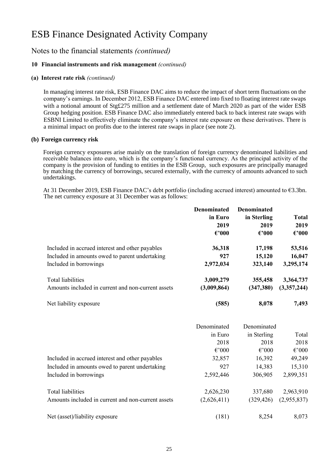## Notes to the financial statements *(continued)*

### **10 Financial instruments and risk management** *(continued)*

#### **(a) Interest rate risk** *(continued)*

In managing interest rate risk, ESB Finance DAC aims to reduce the impact of short term fluctuations on the company's earnings. In December 2012, ESB Finance DAC entered into fixed to floating interest rate swaps with a notional amount of Stg£275 million and a settlement date of March 2020 as part of the wider ESB Group hedging position. ESB Finance DAC also immediately entered back to back interest rate swaps with ESBNI Limited to effectively eliminate the company's interest rate exposure on these derivatives. There is a minimal impact on profits due to the interest rate swaps in place (see note 2).

#### **(b) Foreign currency risk**

Foreign currency exposures arise mainly on the translation of foreign currency denominated liabilities and receivable balances into euro, which is the company's functional currency. As the principal activity of the company is the provision of funding to entities in the ESB Group, such exposures are principally managed by matching the currency of borrowings, secured externally, with the currency of amounts advanced to such undertakings.

At 31 December 2019, ESB Finance DAC's debt portfolio (including accrued interest) amounted to €3.3bn. The net currency exposure at 31 December was as follows:

|                                                    | <b>Denominated</b><br>in Euro<br>2019<br>$\epsilon$ '000 | <b>Denominated</b><br>in Sterling<br>2019<br>$\epsilon$ '000 | <b>Total</b><br>2019<br>$\epsilon$ '000 |
|----------------------------------------------------|----------------------------------------------------------|--------------------------------------------------------------|-----------------------------------------|
| Included in accrued interest and other payables    | 36,318                                                   | 17,198                                                       | 53,516                                  |
| Included in amounts owed to parent undertaking     | 927                                                      | 15,120                                                       | 16,047                                  |
| Included in borrowings                             | 2,972,034                                                | 323,140                                                      | 3,295,174                               |
| Total liabilities                                  | 3,009,279                                                | 355,458                                                      | 3,364,737                               |
| Amounts included in current and non-current assets | (3,009,864)                                              | (347, 380)                                                   | (3,357,244)                             |
| Net liability exposure                             | (585)                                                    | 8,078                                                        | 7,493                                   |

|                                                    | Denominated     | Denominated     |                 |
|----------------------------------------------------|-----------------|-----------------|-----------------|
|                                                    | in Euro         | in Sterling     | Total           |
|                                                    | 2018            | 2018            | 2018            |
|                                                    | $\epsilon$ '000 | $\epsilon$ '000 | $\epsilon$ '000 |
| Included in accrued interest and other payables    | 32,857          | 16,392          | 49,249          |
| Included in amounts owed to parent undertaking     | 927             | 14,383          | 15,310          |
| Included in borrowings                             | 2,592,446       | 306,905         | 2,899,351       |
| Total liabilities                                  | 2,626,230       | 337,680         | 2,963,910       |
| Amounts included in current and non-current assets | (2,626,411)     | (329, 426)      | (2,955,837)     |
| Net (asset)/liability exposure                     | (181)           | 8,254           | 8,073           |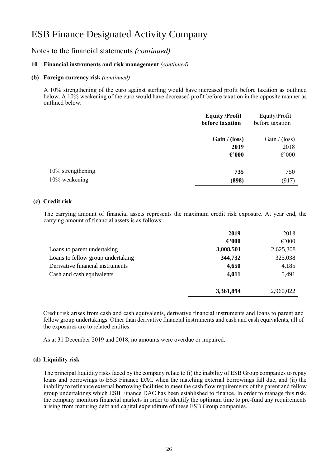### Notes to the financial statements *(continued)*

#### **10 Financial instruments and risk management** *(continued)*

#### **(b) Foreign currency risk** *(continued)*

A 10% strengthening of the euro against sterling would have increased profit before taxation as outlined below. A 10% weakening of the euro would have decreased profit before taxation in the opposite manner as outlined below.

|                   | <b>Equity /Profit</b><br>before taxation | Equity/Profit<br>before taxation |
|-------------------|------------------------------------------|----------------------------------|
|                   | Gain / (loss)                            | Gain / (loss)                    |
|                   | 2019                                     | 2018                             |
|                   | $\epsilon$ '000                          | $\epsilon$ '000                  |
| 10% strengthening | 735                                      | 750                              |
| 10% weakening     | (898)                                    | (917)                            |

#### **(c) Credit risk**

The carrying amount of financial assets represents the maximum credit risk exposure. At year end, the carrying amount of financial assets is as follows:

|                                   | 2019            | 2018            |
|-----------------------------------|-----------------|-----------------|
|                                   | $\epsilon$ '000 | $\epsilon$ '000 |
| Loans to parent undertaking       | 3,008,501       | 2,625,308       |
| Loans to fellow group undertaking | 344,732         | 325,038         |
| Derivative financial instruments  | 4,650           | 4,185           |
| Cash and cash equivalents         | 4,011           | 5,491           |
|                                   | 3,361,894       | 2,960,022       |

Credit risk arises from cash and cash equivalents, derivative financial instruments and loans to parent and fellow group undertakings. Other than derivative financial instruments and cash and cash equivalents, all of the exposures are to related entities.

As at 31 December 2019 and 2018, no amounts were overdue or impaired.

#### **(d) Liquidity risk**

The principal liquidity risks faced by the company relate to (i) the inability of ESB Group companies to repay loans and borrowings to ESB Finance DAC when the matching external borrowings fall due, and (ii) the inability to refinance external borrowing facilities to meet the cash flow requirements of the parent and fellow group undertakings which ESB Finance DAC has been established to finance. In order to manage this risk, the company monitors financial markets in order to identify the optimum time to pre-fund any requirements arising from maturing debt and capital expenditure of these ESB Group companies.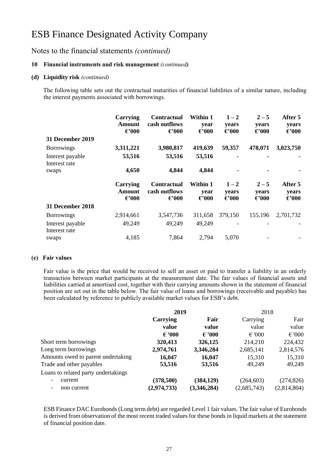### Notes to the financial statements *(continued)*

#### **10 Financial instruments and risk management** *(continued)*

#### **(d) Liquidity risk** *(continued)*

The following table sets out the contractual maturities of financial liabilities of a similar nature, including the interest payments associated with borrowings.

|                                   | Carrying<br>Amount<br>$\epsilon$ '000        | <b>Contractual</b><br>cash outflows<br>$\epsilon$ '000 | Within 1<br>year<br>$\epsilon$ '000        | $1 - 2$<br>years<br>$\epsilon$ '000 | $2 - 5$<br>years<br>$\epsilon$ '000 | After 5<br>years<br>$\epsilon$ '000 |
|-----------------------------------|----------------------------------------------|--------------------------------------------------------|--------------------------------------------|-------------------------------------|-------------------------------------|-------------------------------------|
| <b>31 December 2019</b>           |                                              |                                                        |                                            |                                     |                                     |                                     |
| <b>Borrowings</b>                 | 3,311,221                                    | 3,980,817                                              | 419,639                                    | 59,357                              | 478,071                             | 3,023,750                           |
| Interest payable<br>Interest rate | 53,516                                       | 53,516                                                 | 53,516                                     |                                     |                                     |                                     |
| swaps                             | 4,650                                        | 4,844                                                  | 4,844                                      |                                     |                                     |                                     |
|                                   | <b>Carrying</b><br>Amount<br>$\epsilon$ '000 | <b>Contractual</b><br>cash outflows<br>$\epsilon$ '000 | <b>Within 1</b><br>year<br>$\epsilon$ '000 | $1 - 2$<br>years<br>$\epsilon$ '000 | $2 - 5$<br>years<br>$\epsilon$ '000 | After 5<br>years<br>$\epsilon$ '000 |
| <b>31 December 2018</b>           |                                              |                                                        |                                            |                                     |                                     |                                     |
|                                   |                                              |                                                        |                                            |                                     |                                     |                                     |
| <b>Borrowings</b>                 | 2,914,661                                    | 3,547,736                                              | 311,658                                    | 379,150                             | 155,196                             | 2,701,732                           |
| Interest payable<br>Interest rate | 49,249                                       | 49,249                                                 | 49,249                                     |                                     |                                     |                                     |

#### **(e) Fair values**

Fair value is the price that would be received to sell an asset or paid to transfer a liability in an orderly transaction between market participants at the measurement date. The fair values of financial assets and liabilities carried at amortised cost, together with their carrying amounts shown in the statement of financial position are set out in the table below. The fair value of loans and borrowings (receivable and payable) has been calculated by reference to publicly available market values for ESB's debt.

|                                     | 2019            |                 | 2018            |                 |
|-------------------------------------|-----------------|-----------------|-----------------|-----------------|
|                                     | Carrying        | Fair            | Carrying        | Fair            |
|                                     | value           | value           | value           | value           |
|                                     | $\epsilon$ '000 | $\epsilon$ '000 | $\epsilon$ '000 | $\epsilon$ '000 |
| Short term borrowings               | 320,413         | 326,125         | 214,210         | 224,432         |
| Long term borrowings                | 2,974,761       | 3,346,284       | 2,685,141       | 2,814,576       |
| Amounts owed to parent undertaking  | 16,047          | 16,047          | 15,310          | 15,310          |
| Trade and other payables            | 53,516          | 53,516          | 49,249          | 49,249          |
| Loans to related party undertakings |                 |                 |                 |                 |
| current                             | (378,500)       | (384, 129)      | (264, 603)      | (274, 826)      |
| non current                         | (2,974,733)     | (3,346,284)     | (2,685,743)     | (2,814,804)     |

ESB Finance DAC Eurobonds (Long term debt) are regarded Level 1 fair values. The fair value of Eurobonds is derived from observation of the most recent traded values for these bonds in liquid markets at the statement of financial position date.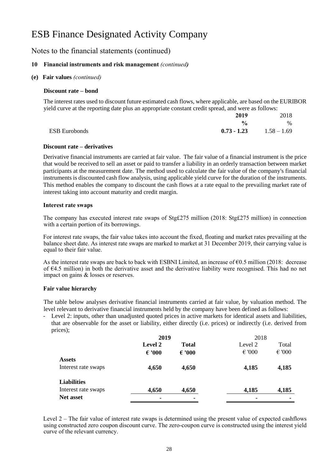### Notes to the financial statements (continued)

### **10 Financial instruments and risk management** *(continued)*

#### **(e) Fair values** *(continued)*

#### **Discount rate – bond**

The interest rates used to discount future estimated cash flows, where applicable, are based on the EURIBOR yield curve at the reporting date plus an appropriate constant credit spread, and were as follows:

|                      | 2019          | 2018          |
|----------------------|---------------|---------------|
|                      | $\frac{6}{6}$ | $\%$          |
| <b>ESB</b> Eurobonds | $0.73 - 1.23$ | $1.58 - 1.69$ |

#### **Discount rate – derivatives**

Derivative financial instruments are carried at fair value. The fair value of a financial instrument is the price that would be received to sell an asset or paid to transfer a liability in an orderly transaction between market participants at the measurement date. The method used to calculate the fair value of the company's financial instruments is discounted cash flow analysis, using applicable yield curve for the duration of the instruments. This method enables the company to discount the cash flows at a rate equal to the prevailing market rate of interest taking into account maturity and credit margin.

#### **Interest rate swaps**

The company has executed interest rate swaps of Stg£275 million (2018: Stg£275 million) in connection with a certain portion of its borrowings.

For interest rate swaps, the fair value takes into account the fixed, floating and market rates prevailing at the balance sheet date. As interest rate swaps are marked to market at 31 December 2019, their carrying value is equal to their fair value.

As the interest rate swaps are back to back with ESBNI Limited, an increase of  $\epsilon$ 0.5 million (2018: decrease of  $64.5$  million) in both the derivative asset and the derivative liability were recognised. This had no net impact on gains & losses or reserves.

#### **Fair value hierarchy**

The table below analyses derivative financial instruments carried at fair value, by valuation method. The level relevant to derivative financial instruments held by the company have been defined as follows:

Level 2: inputs, other than unadjusted quoted prices in active markets for identical assets and liabilities, that are observable for the asset or liability, either directly (i.e. prices) or indirectly (i.e. derived from prices);

|                     | 2019            |                 | 2018            |                 |
|---------------------|-----------------|-----------------|-----------------|-----------------|
|                     | <b>Level 2</b>  | <b>Total</b>    | Level 2         | Total           |
|                     | $\epsilon$ '000 | $\epsilon$ '000 | $\epsilon$ '000 | $\epsilon$ '000 |
| <b>Assets</b>       |                 |                 |                 |                 |
| Interest rate swaps | 4,650           | 4,650           | 4,185           | 4,185           |
| <b>Liabilities</b>  |                 |                 |                 |                 |
| Interest rate swaps | 4,650           | 4,650           | 4,185           | 4,185           |
| <b>Net asset</b>    |                 | -               |                 |                 |

Level 2 – The fair value of interest rate swaps is determined using the present value of expected cashflows using constructed zero coupon discount curve. The zero-coupon curve is constructed using the interest yield curve of the relevant currency.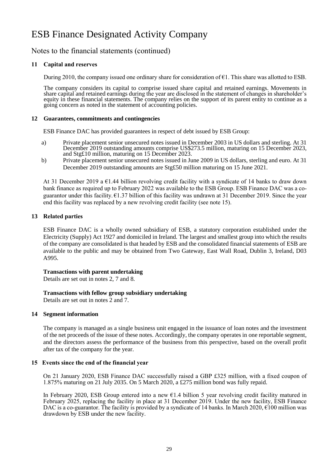### Notes to the financial statements (continued)

### **11 Capital and reserves**

During 2010, the company issued one ordinary share for consideration of  $\epsilon$ 1. This share was allotted to ESB.

The company considers its capital to comprise issued share capital and retained earnings. Movements in share capital and retained earnings during the year are disclosed in the statement of changes in shareholder's equity in these financial statements. The company relies on the support of its parent entity to continue as a going concern as noted in the statement of accounting policies.

#### **12 Guarantees, commitments and contingencies**

ESB Finance DAC has provided guarantees in respect of debt issued by ESB Group:

- a) Private placement senior unsecured notes issued in December 2003 in US dollars and sterling. At 31 December 2019 outstanding amounts comprise US\$273.5 million, maturing on 15 December 2023, and Stg£10 million, maturing on 15 December 2023.
- b) Private placement senior unsecured notes issued in June 2009 in US dollars, sterling and euro. At 31 December 2019 outstanding amounts are Stg£50 million maturing on 15 June 2021.

At 31 December 2019 a €1.44 billion revolving credit facility with a syndicate of 14 banks to draw down bank finance as required up to February 2022 was available to the ESB Group. ESB Finance DAC was a coguarantor under this facility. €1.37 billion of this facility was undrawn at 31 December 2019. Since the year end this facility was replaced by a new revolving credit facility (see note 15).

#### **13 Related parties**

ESB Finance DAC is a wholly owned subsidiary of ESB, a statutory corporation established under the Electricity (Supply) Act 1927 and domiciled in Ireland. The largest and smallest group into which the results of the company are consolidated is that headed by ESB and the consolidated financial statements of ESB are available to the public and may be obtained from Two Gateway, East Wall Road, Dublin 3, Ireland, D03 A995.

#### **Transactions with parent undertaking**

Details are set out in notes 2, 7 and 8.

#### **Transactions with fellow group subsidiary undertaking**

Details are set out in notes 2 and 7.

#### **14 Segment information**

The company is managed as a single business unit engaged in the issuance of loan notes and the investment of the net proceeds of the issue of these notes. Accordingly, the company operates in one reportable segment, and the directors assess the performance of the business from this perspective, based on the overall profit after tax of the company for the year.

#### **15 Events since the end of the financial year**

On 21 January 2020, ESB Finance DAC successfully raised a GBP £325 million, with a fixed coupon of 1.875% maturing on 21 July 2035. On 5 March 2020, a £275 million bond was fully repaid.

In February 2020, ESB Group entered into a new €1.4 billion 5 year revolving credit facility matured in February 2025, replacing the facility in place at 31 December 2019. Under the new facility, ESB Finance DAC is a co-guarantor. The facility is provided by a syndicate of 14 banks. In March 2020,  $\epsilon$ 100 million was drawdown by ESB under the new facility.